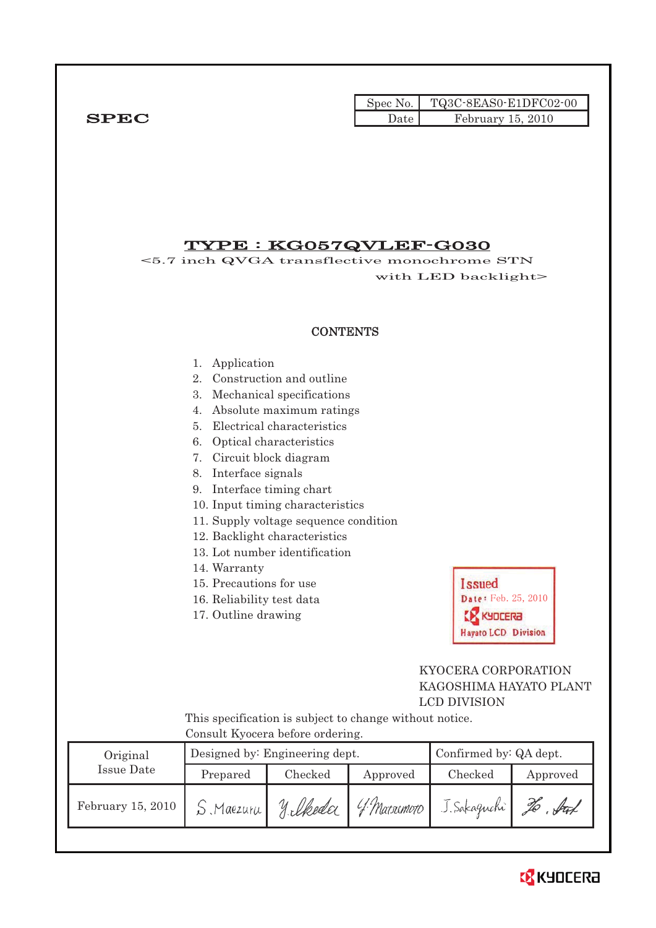|              |      | $Spec No.$ $TQ3C-8EASO-E1DFCO2-00$ |
|--------------|------|------------------------------------|
| ${\bf SPEC}$ | Date | February 15, 2010                  |

# TYPE : KG057QVLEF-G030

<5.7 inch QVGA transflective monochrome STN with LED backlight>

## **CONTENTS**

#### 1. Application

- 2. Construction and outline
- 3. Mechanical specifications
- 4. Absolute maximum ratings
- 5. Electrical characteristics
- 6. Optical characteristics
- 7. Circuit block diagram
- 8. Interface signals
- 9. Interface timing chart
- 10. Input timing characteristics
- 11. Supply voltage sequence condition
- 12. Backlight characteristics
- 13. Lot number identification
- 14. Warranty
- 15. Precautions for use
- 16. Reliability test data
- 17. Outline drawing



## KYOCERA CORPORATION KAGOSHIMA HAYATO PLANT LCD DIVISION

This specification is subject to change without notice. Consult Kyocera before ordering.

| Original          |           | Designed by: Engineering dept. |                 | Confirmed by: QA dept. |          |
|-------------------|-----------|--------------------------------|-----------------|------------------------|----------|
| Issue Date        | Prepared  | Checked                        | Approved        | Checked                | Approved |
| February 15, 2010 | S Maezura | silkeda                        | $4.9$ Matximoto | J. Sakaguchi           | Stat     |

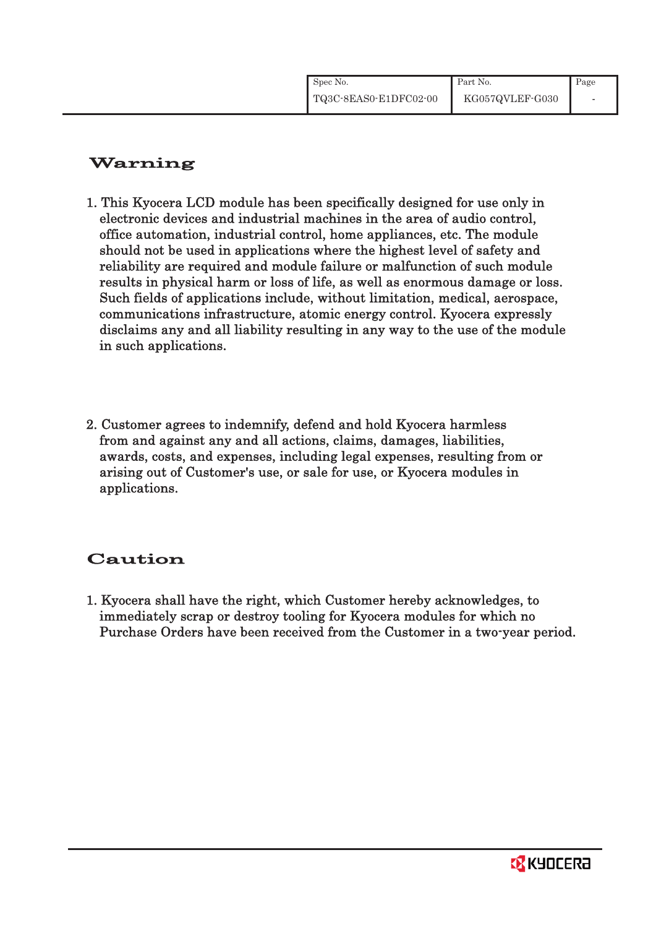| Spec No.              | Part No.        | Page                     |
|-----------------------|-----------------|--------------------------|
| TQ3C-8EAS0-E1DFC02-00 | KG057QVLEF-G030 | $\overline{\phantom{a}}$ |

# Warning

- 1. This Kyocera LCD module has been specifically designed for use only in electronic devices and industrial machines in the area of audio control, office automation, industrial control, home appliances, etc. The module should not be used in applications where the highest level of safety and reliability are required and module failure or malfunction of such module results in physical harm or loss of life, as well as enormous damage or loss. Such fields of applications include, without limitation, medical, aerospace, communications infrastructure, atomic energy control. Kyocera expressly disclaims any and all liability resulting in any way to the use of the module in such applications.
- 2. Customer agrees to indemnify, defend and hold Kyocera harmless from and against any and all actions, claims, damages, liabilities, awards, costs, and expenses, including legal expenses, resulting from or arising out of Customer's use, or sale for use, or Kyocera modules in applications.

# Caution

1. Kyocera shall have the right, which Customer hereby acknowledges, to immediately scrap or destroy tooling for Kyocera modules for which no Purchase Orders have been received from the Customer in a two-year period.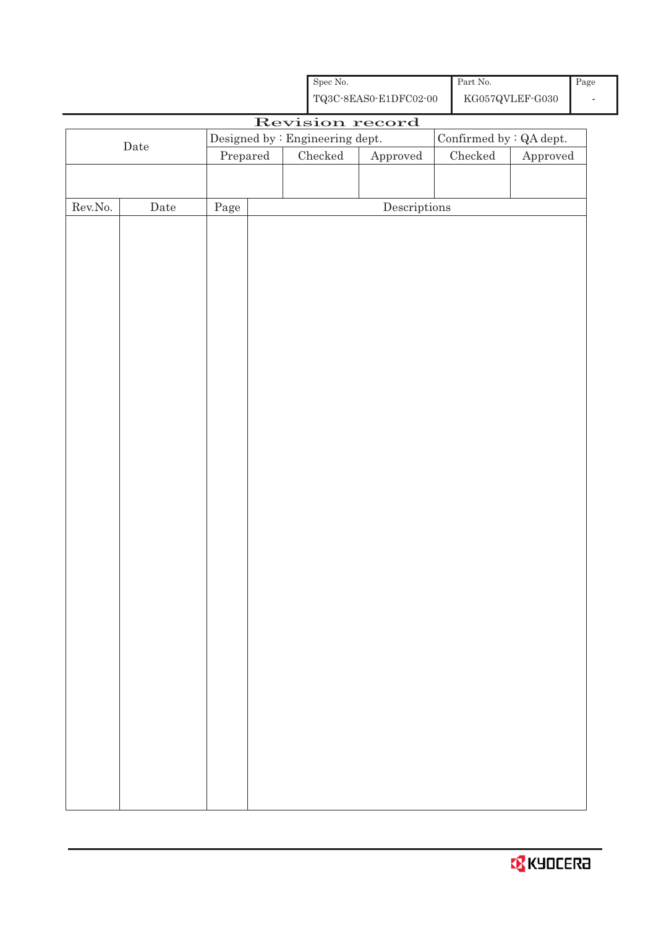|         |             |                                 | Spec No.      |                                                    | Part No. |                                            | Page |
|---------|-------------|---------------------------------|---------------|----------------------------------------------------|----------|--------------------------------------------|------|
|         |             |                                 |               | ${\bf TQ3C\text{-}8EAS0\text{-}E1DFC02\text{-}00}$ |          | ${\rm KG}057{\rm QVLEF}\mbox{-}{\rm G}030$ |      |
|         |             |                                 |               | Revision record                                    |          |                                            |      |
|         |             | Designed by : Engineering dept. |               |                                                    |          | Confirmed by : QA dept.                    |      |
|         | $\rm{Date}$ | $\mbox{Prepared}$               | $\rm Checked$ | ${\Large\bf Approved}$                             | Checked  | Approved                                   |      |
|         |             |                                 |               |                                                    |          |                                            |      |
|         |             |                                 |               |                                                    |          |                                            |      |
| Rev.No. |             | Page                            |               | $\label{eq:2} \textbf{Descriptions}$               |          |                                            |      |
|         | Date        |                                 |               |                                                    |          |                                            |      |
|         |             |                                 |               |                                                    |          |                                            |      |
|         |             |                                 |               |                                                    |          |                                            |      |
|         |             |                                 |               |                                                    |          |                                            |      |
|         |             |                                 |               |                                                    |          |                                            |      |
|         |             |                                 |               |                                                    |          |                                            |      |
|         |             |                                 |               |                                                    |          |                                            |      |
|         |             |                                 |               |                                                    |          |                                            |      |
|         |             |                                 |               |                                                    |          |                                            |      |
|         |             |                                 |               |                                                    |          |                                            |      |
|         |             |                                 |               |                                                    |          |                                            |      |
|         |             |                                 |               |                                                    |          |                                            |      |
|         |             |                                 |               |                                                    |          |                                            |      |
|         |             |                                 |               |                                                    |          |                                            |      |
|         |             |                                 |               |                                                    |          |                                            |      |
|         |             |                                 |               |                                                    |          |                                            |      |
|         |             |                                 |               |                                                    |          |                                            |      |
|         |             |                                 |               |                                                    |          |                                            |      |
|         |             |                                 |               |                                                    |          |                                            |      |
|         |             |                                 |               |                                                    |          |                                            |      |
|         |             |                                 |               |                                                    |          |                                            |      |
|         |             |                                 |               |                                                    |          |                                            |      |
|         |             |                                 |               |                                                    |          |                                            |      |
|         |             |                                 |               |                                                    |          |                                            |      |
|         |             |                                 |               |                                                    |          |                                            |      |
|         |             |                                 |               |                                                    |          |                                            |      |
|         |             |                                 |               |                                                    |          |                                            |      |
|         |             |                                 |               |                                                    |          |                                            |      |
|         |             |                                 |               |                                                    |          |                                            |      |
|         |             |                                 |               |                                                    |          |                                            |      |
|         |             |                                 |               |                                                    |          |                                            |      |
|         |             |                                 |               |                                                    |          |                                            |      |
|         |             |                                 |               |                                                    |          |                                            |      |
|         |             |                                 |               |                                                    |          |                                            |      |
|         |             |                                 |               |                                                    |          |                                            |      |
|         |             |                                 |               |                                                    |          |                                            |      |
|         |             |                                 |               |                                                    |          |                                            |      |
|         |             |                                 |               |                                                    |          |                                            |      |

l,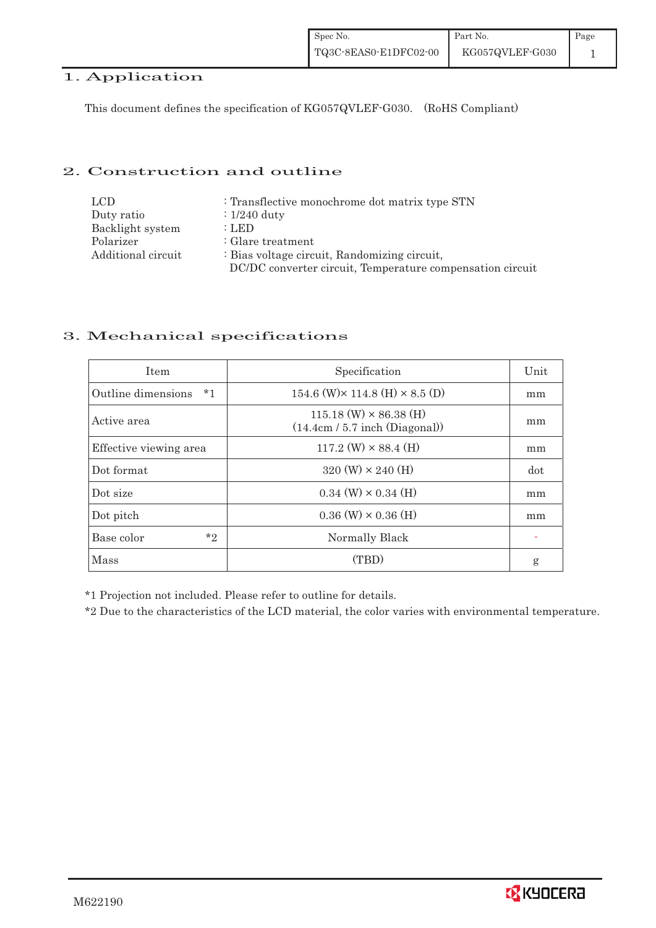# 1. Application

This document defines the specification of KG057QVLEF-G030. (RoHS Compliant)

## 2. Construction and outline

| <b>LCD</b>         | : Transflective monochrome dot matrix type STN            |
|--------------------|-----------------------------------------------------------|
| Duty ratio         | $\therefore$ 1/240 duty                                   |
| Backlight system   | : LED                                                     |
| Polarizer          | $\therefore$ Glare treatment                              |
| Additional circuit | : Bias voltage circuit, Randomizing circuit,              |
|                    | DC/DC converter circuit, Temperature compensation circuit |

## 3. Mechanical specifications

| <b>Item</b>                | Specification                                                     | Unit |
|----------------------------|-------------------------------------------------------------------|------|
| Outline dimensions<br>$*1$ | 154.6 (W) $\times$ 114.8 (H) $\times$ 8.5 (D)                     | mm   |
| Active area                | $115.18$ (W) $\times$ 86.38 (H)<br>(14.4cm / 5.7 inch (Diagonal)) | mm   |
| Effective viewing area     | $117.2$ (W) $\times$ 88.4 (H)                                     | mm   |
| Dot format                 | $320 \text{ (W)} \times 240 \text{ (H)}$                          | dot  |
| Dot size                   | $0.34$ (W) $\times$ 0.34 (H)                                      | mm   |
| Dot pitch                  | $0.36$ (W) $\times$ 0.36 (H)                                      | mm   |
| $*_{2}$<br>Base color      | Normally Black                                                    |      |
| Mass                       | (TBD)                                                             | g    |

\*1 Projection not included. Please refer to outline for details.

\*2 Due to the characteristics of the LCD material, the color varies with environmental temperature.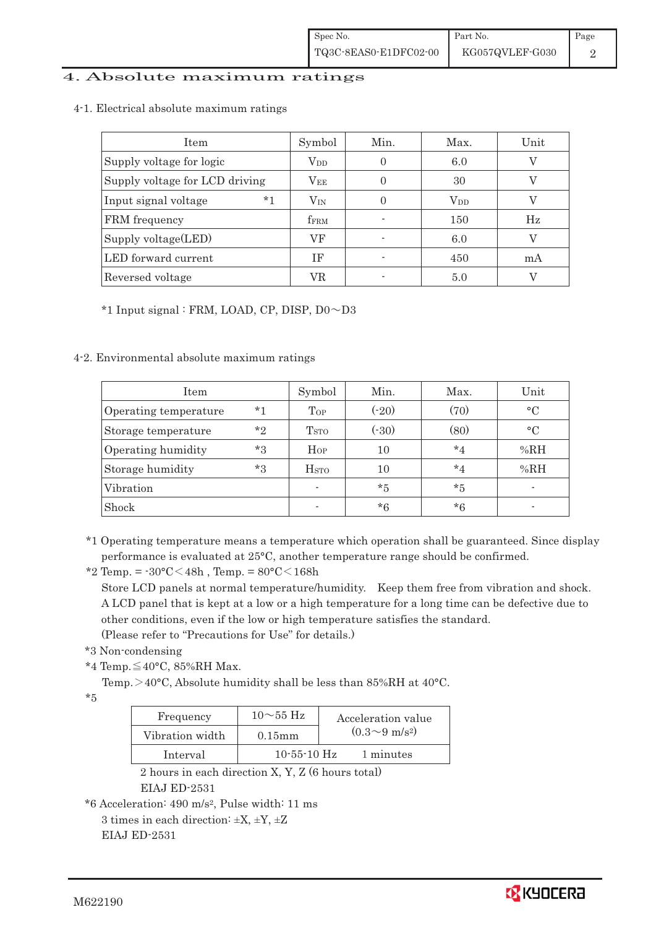#### 4. Absolute maximum ratings

4-1.Electrical absolute maximum ratings

| <b>Item</b>                    | Symbol           | Min. | Max.         | Unit |
|--------------------------------|------------------|------|--------------|------|
| Supply voltage for logic       | $V_{DD}$         |      | 6.0          |      |
| Supply voltage for LCD driving | $\rm V_{EE}$     |      | 30           |      |
| $*1$<br>Input signal voltage   | $\rm V_{IN}$     | 0    | $\rm V_{DD}$ |      |
| FRM frequency                  | f <sub>FRM</sub> |      | 150          | Hz   |
| Supply voltage $(\text{LED})$  | VF               |      | 6.0          |      |
| LED forward current            | ΙF               |      | 450          | mA   |
| Reversed voltage               | VR               |      | 5.0          |      |

 $*1$  Input signal : FRM, LOAD, CP, DISP,  $D0 \sim D3$ 

4-2. Environmental absolute maximum ratings

| Item                  |         | Symbol                  | Min.    | Max.    | Unit      |
|-----------------------|---------|-------------------------|---------|---------|-----------|
| Operating temperature | $*_{1}$ | Top                     | $(-20)$ | (70)    | $\circ$ C |
| Storage temperature   | $*_{2}$ | <b>T</b> <sub>STO</sub> | (.30)   | (80)    | $\circ$ C |
| Operating humidity    | $*3$    | Hop                     | 10      | $*_{4}$ | %RH       |
| Storage humidity      | $*3$    | $_{\mathrm{HSTO}}$      | 10      | $*_{4}$ | %RH       |
| Vibration             |         | ٠                       | $*5$    | $*5$    |           |
| Shock                 |         |                         | $*6$    | $*6$    |           |

\*1 Operating temperature means a temperature which operation shall be guaranteed. Since display performance is evaluated at 25°C, another temperature range should be confirmed.

\*2 Temp. =  $-30^{\circ}$ C $<$ 48h, Temp. =  $80^{\circ}$ C $<$ 168h

Store LCD panels at normal temperature/humidity. Keep them free from vibration and shock. A LCD panel that is kept at a low or a high temperature for a long time can be defective due to other conditions, even if the low or high temperature satisfies the standard.

(Please refer to "Precautions for Use" for details.)

```
! ! *3 Non-condensing
```
\*4 Temp.  $\leq$  40°C, 85%RH Max.

Temp. >40°C, Absolute humidity shall be less than 85%RH at 40°C.

\*5

| Frequency       | $10\sim$ 55 Hz    | Acceleration value         |
|-----------------|-------------------|----------------------------|
| Vibration width | $0.15$ mm         | $(0.3{\sim}9~{\rm m/s^2})$ |
| Interval        | $10 - 55 - 10$ Hz | 1 minutes                  |

2 hours in each direction X, Y, Z (6 hours total) EIAJ ED-2531

\*6 Acceleration: 490 m/s2, Pulse width: 11 ms

3 times in each direction:  $\pm X$ ,  $\pm Y$ ,  $\pm Z$ EIAJ ED-2531

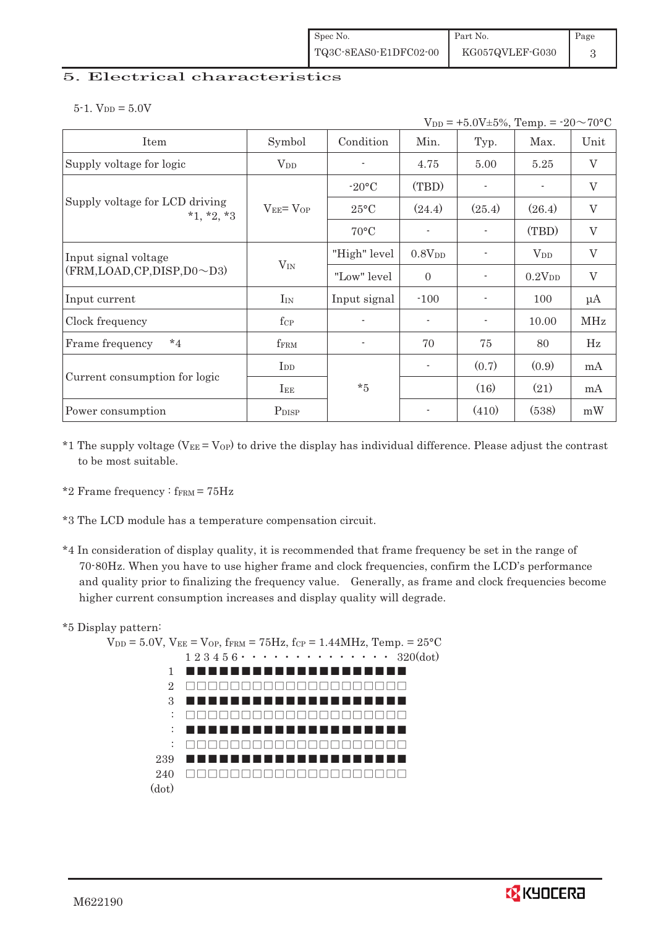| Spec No.              | Part No.        | Page |
|-----------------------|-----------------|------|
| TQ3C-8EAS0-E1DFC02-00 | KG057QVLEF-G030 |      |

#### 5. Electrical characteristics

 $5-1.$  V<sub>DD</sub> =  $5.0V$ 

|                                                | $V_{DD} = +5.0V \pm 5\%,$ Temp. = $-20 \sim 70$ °C |                |                          |                          |                    |                           |  |
|------------------------------------------------|----------------------------------------------------|----------------|--------------------------|--------------------------|--------------------|---------------------------|--|
| Item                                           | Symbol                                             | Condition      | Min.                     | Typ.                     | Max.               | Unit                      |  |
| Supply voltage for logic                       | <b>V</b> <sub>DD</sub>                             |                | 4.75                     | 5.00                     | 5.25               | $\boldsymbol{\mathrm{V}}$ |  |
|                                                |                                                    | $-20\degree C$ | (TBD)                    | $\blacksquare$           |                    | $\rm V$                   |  |
| Supply voltage for LCD driving<br>$*1, *2, *3$ | $V_{EE} = V_{OP}$                                  | $25^{\circ}$ C | (24.4)                   | (25.4)                   | (26.4)             | $\rm V$                   |  |
|                                                |                                                    | $70^{\circ}$ C |                          |                          | (TBD)              | $\mathbf V$               |  |
| Input signal voltage                           |                                                    | "High" level   | 0.8V <sub>DD</sub>       |                          | $V_{DD}$           | $\boldsymbol{\mathrm{V}}$ |  |
| $(FRM, LOAD, CP, DISP, D0 \sim D3)$            | $V_{IN}$                                           | "Low" level    | $\Omega$                 | $\overline{\phantom{a}}$ | 0.2V <sub>DD</sub> | $\mathbf{V}$              |  |
| Input current                                  | $I_{IN}$                                           | Input signal   | $-100$                   |                          | 100                | $\mu A$                   |  |
| Clock frequency                                | $f_{\rm CP}$                                       |                | $\overline{\phantom{a}}$ | $\overline{\phantom{a}}$ | 10.00              | <b>MHz</b>                |  |
| $*_{4}$<br>Frame frequency                     | $f_{\rm FRM}$                                      |                | 70                       | 75                       | 80                 | Hz                        |  |
|                                                | $_{\rm{LDD}}$                                      |                |                          | (0.7)                    | (0.9)              | mA                        |  |
| Current consumption for logic                  | $I_{EE}$                                           | $*5$           |                          | (16)                     | (21)               | mA                        |  |
| Power consumption                              | P <sub>DISP</sub>                                  |                | $\overline{\phantom{a}}$ | (410)                    | (538)              | mW                        |  |

- \*1 The supply voltage ( $V_{EE} = V_{OP}$ ) to drive the display has individual difference. Please adjust the contrast to be most suitable.
- \*2 Frame frequency :  $f_{\text{FRM}} = 75 \text{Hz}$
- \*3 The LCD module has a temperature compensation circuit.
- \*4 In consideration of display quality, it is recommended that frame frequency be set in the range of 70-80Hz. When you have to use higher frame and clock frequencies, confirm the LCD's performance and quality prior to finalizing the frequency value. Generally, as frame and clock frequencies become higher current consumption increases and display quality will degrade.

#### \*5 Display pattern:



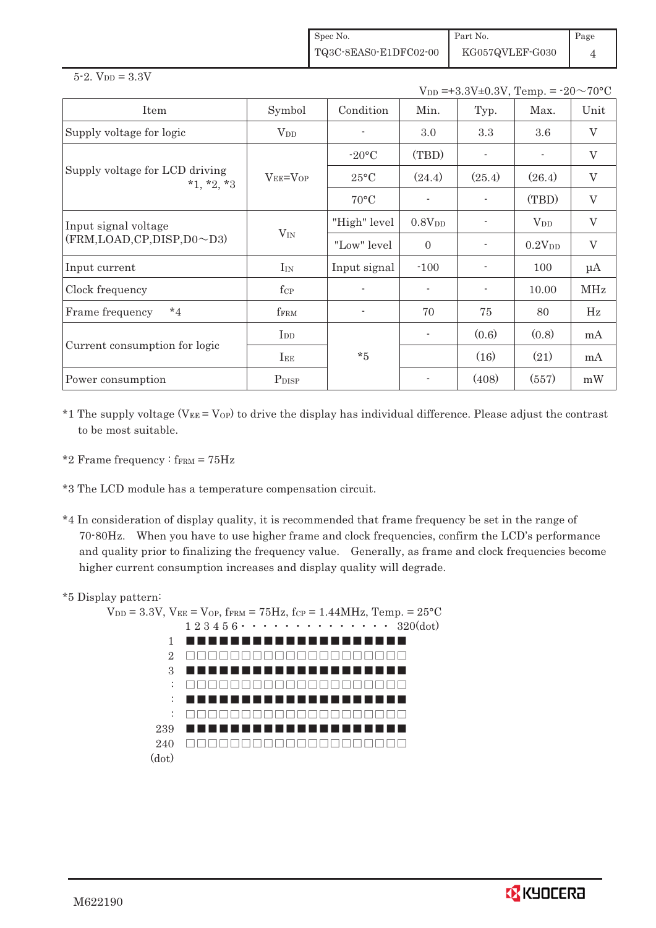| Spec No.              | Part No.        | $\vert$ Page |
|-----------------------|-----------------|--------------|
| TQ3C-8EAS0-E1DFC02-00 | KG057QVLEF-G030 |              |

 $5 - 2.$  V<sub>DD</sub> =  $3.3V$ 

 $V_{DD} = +3.3V \pm 0.3V$ , Temp. =  $-20 \sim 70$ °C

| Item                                           | Symbol            | Condition          | Min.                     | Typ.                     | Max.               | Unit                      |
|------------------------------------------------|-------------------|--------------------|--------------------------|--------------------------|--------------------|---------------------------|
| Supply voltage for logic                       | $\rm V_{DD}$      |                    | 3.0                      | 3.3                      | 3.6                | $\boldsymbol{\mathrm{V}}$ |
|                                                |                   | $-20\textdegree C$ | (TBD)                    |                          |                    | $\rm V$                   |
| Supply voltage for LCD driving<br>$*1, *2, *3$ | $V_{EE} = V_{OP}$ | $25^{\circ}$ C     | (24.4)                   | (25.4)                   | (26.4)             | $\rm V$                   |
|                                                |                   | $70^{\circ}$ C     |                          |                          | (TBD)              | $\boldsymbol{\mathrm{V}}$ |
| Input signal voltage                           |                   | "High" level       | 0.8V <sub>DD</sub>       |                          | $V_{DD}$           | $\boldsymbol{\mathrm{V}}$ |
| (FRM,LOAD,CP,DISP,D0~D3)                       | $V_{IN}$          | "Low" level        | $\Omega$                 | $\overline{\phantom{0}}$ | 0.2V <sub>DD</sub> | $\boldsymbol{\mathrm{V}}$ |
| Input current                                  | $I_{IN}$          | Input signal       | $-100$                   |                          | 100                | $\mu A$                   |
| Clock frequency                                | $f_{\rm CP}$      |                    |                          |                          | 10.00              | <b>MHz</b>                |
| $*_{4}$<br>Frame frequency                     | fFRM              |                    | 70                       | 75                       | 80                 | Hz                        |
| Current consumption for logic                  | I <sub>DD</sub>   |                    | $\overline{\phantom{a}}$ | (0.6)                    | (0.8)              | mA                        |
|                                                | $I_{EE}$          | $*5$               |                          | (16)                     | (21)               | mA                        |
| Power consumption                              | P <sub>DISP</sub> |                    |                          | (408)                    | (557)              | mW                        |

\*1 The supply voltage ( $V_{EE} = V_{OP}$ ) to drive the display has individual difference. Please adjust the contrast to be most suitable.

- \*2 Frame frequency :  $f_{\text{FRM}} = 75 \text{Hz}$
- \*3 The LCD module has a temperature compensation circuit.
- \*4 In consideration of display quality, it is recommended that frame frequency be set in the range of 70-80Hz. When you have to use higher frame and clock frequencies, confirm the LCD's performance and quality prior to finalizing the frequency value. Generally, as frame and clock frequencies become higher current consumption increases and display quality will degrade.

#### \*5 Display pattern:

 $V_{DD} = 3.3V$ ,  $V_{EE} = V_{OP}$ ,  $f_{FFM} = 75Hz$ ,  $f_{CP} = 1.44MHz$ ,  $Temp = 25°C$  $1\ 2\ 3\ 4\ 5\ 6\cdot\cdot\cdot\cdot\cdot\cdot\cdot\cdot\cdot\cdot\cdot\cdot\cdot\cdot\cdot\cdot\ 320(\mathrm{dot})$ 1 2 3 : : : 239 240 ))))))))))))))))))))(dot) (((((((((((((((((((( )))))))))))))))))))) (((((((((((((((((((( )))))))))))))))))))) (((((((((((((((((((( )))))))))))))))))))) ((((((((((((((((((((

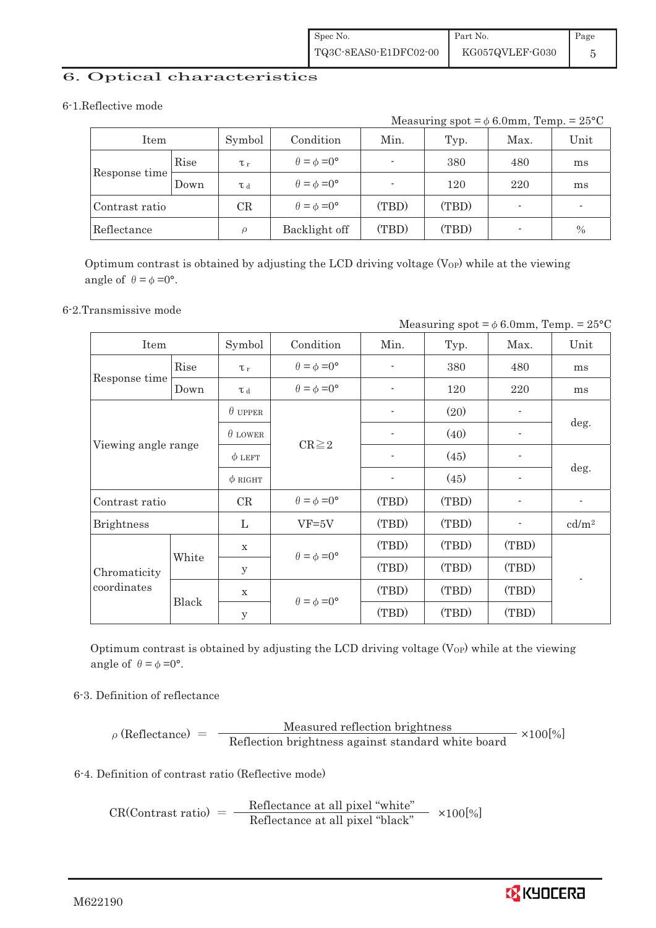## 6. Optical characteristics

#### 6-1.Reflective mode

Measuring  $spot = \phi 6.0mm$ , Temp. =  $25^{\circ}C$ 

| Item           |      | Symbol   | Condition                   | Min.  | Typ.  | Max.                     | Unit          |
|----------------|------|----------|-----------------------------|-------|-------|--------------------------|---------------|
|                | Rise | $\tau_r$ | $\theta = \phi = 0^{\circ}$ |       | 380   | 480                      | ms            |
| Response time  | Down | T d      | $\theta = \phi = 0^{\circ}$ |       | 120   | 220                      | ms            |
| Contrast ratio |      | CR       | $\theta = \phi = 0^{\circ}$ | (TBD) | (TBD) | $\overline{\phantom{0}}$ |               |
| Reflectance    |      | $\Omega$ | Backlight off               | (TBD) | (TBD) | $\overline{\phantom{a}}$ | $\frac{0}{0}$ |

Optimum contrast is obtained by adjusting the LCD driving voltage  $(V_{OP})$  while at the viewing angle of  $\theta = \phi = 0^{\circ}$ .

#### 6-2.Transmissive mode

| Measuring spot = $\phi$ 6.0mm, Temp. = 25°C |       |                |                             |       |       |       |                   |  |
|---------------------------------------------|-------|----------------|-----------------------------|-------|-------|-------|-------------------|--|
| Item                                        |       | Symbol         | Condition                   | Min.  | Typ.  | Max.  | Unit              |  |
|                                             | Rise  | $\tau$         | $\theta = \phi = 0^{\circ}$ |       | 380   | 480   | ms                |  |
| Response time                               | Down  | T d            | $\theta = \phi = 0^{\circ}$ |       | 120   | 220   | ms                |  |
|                                             |       | $\theta$ upper |                             |       | (20)  |       |                   |  |
|                                             |       | $\theta$ LOWER | $CR \geq 2$                 |       | (40)  |       | deg.              |  |
| Viewing angle range                         |       | $\phi$ LEFT    |                             |       | (45)  |       | deg.              |  |
|                                             |       | $\phi$ RIGHT   |                             |       | (45)  |       |                   |  |
| Contrast ratio                              |       | CR             | $\theta = \phi = 0^{\circ}$ | (TBD) | (TBD) |       |                   |  |
| <b>Brightness</b>                           |       | L              | $VF=5V$                     | (TBD) | (TBD) |       | cd/m <sup>2</sup> |  |
|                                             | White | $\mathbf X$    | $\theta = \phi = 0^{\circ}$ | (TBD) | (TBD) | (TBD) |                   |  |
| Chromaticity<br>coordinates                 |       | у              |                             | (TBD) | (TBD) | (TBD) |                   |  |
|                                             |       | X              | $\theta = \phi = 0^{\circ}$ | (TBD) | (TBD) | (TBD) |                   |  |
|                                             |       | Black          | y                           |       | (TBD) | (TBD) | (TBD)             |  |

Optimum contrast is obtained by adjusting the LCD driving voltage  $(V_{OP})$  while at the viewing angle of  $\theta = \phi = 0^{\circ}$ .

## 6-3. Definition of reflectance

$$
\rho (Reflectance) = \frac{Measured reflection brightness}{Reflection brightness against standard white board} \times 100[\%]
$$

## 6-4. Definition of contrast ratio (Reflective mode)

 $CR(Contrast ratio) = \frac{\text{Reference at all pixel "white"}}{\text{Reference at all pixel "black"}}$   $\times 100[\%]$ 

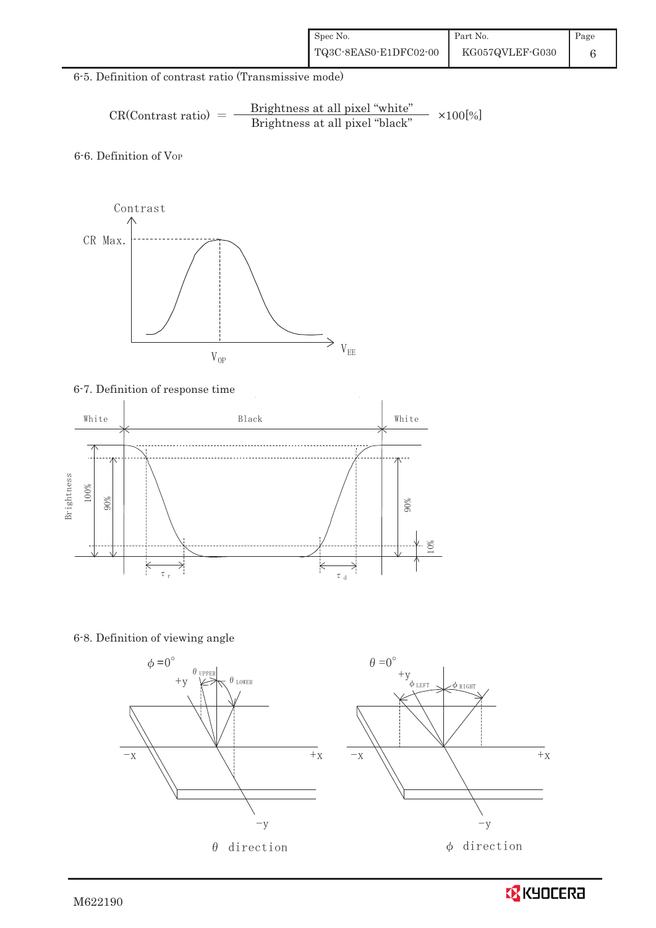| Spec No.              | Part No.        | Page |
|-----------------------|-----------------|------|
| TQ3C-8EAS0-E1DFC02-00 | KG057QVLEF-G030 |      |

## 6-5. Definition of contrast ratio (Transmissive mode)

$$
CR(Contrast ratio) = \frac{Brightness at all pixel "white" }{Brightness at all pixel "black" } \times 100[\%]
$$

6-6. Definition of Vor



# 6-7. Definition of response time



6-8. Definition of viewing angle





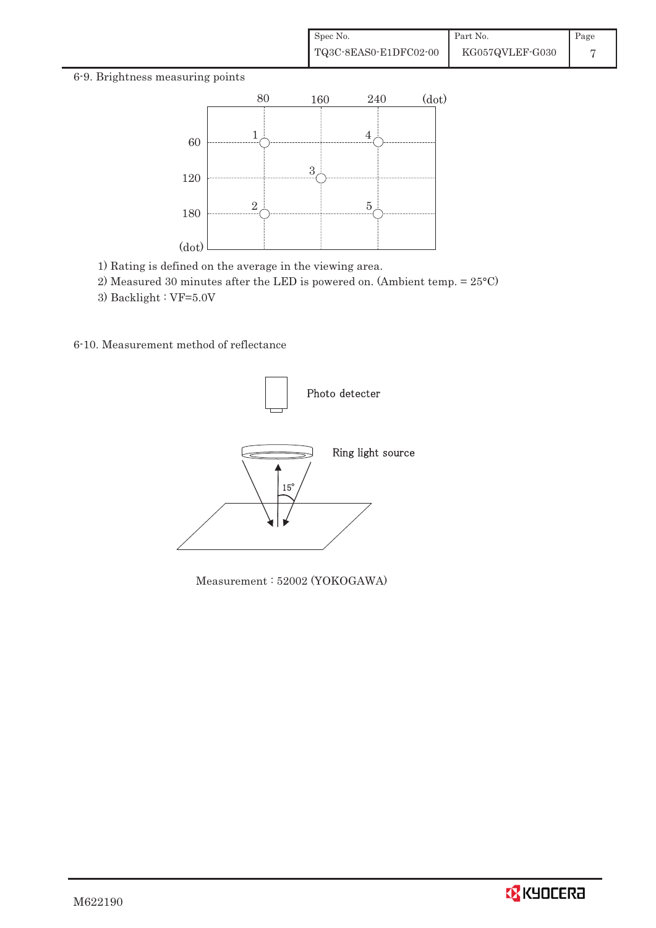#### 6-9. Brightness measuring points



- 1) Rating is defined on the average in the viewing area.
- 2) Measured 30 minutes after the LED is powered on. (Ambient temp. = 25°C)
- 3) Backlight : VF=5.0V
- 6-10. Measurement method of reflectance



Measurement : 52002 (YOKOGAWA)

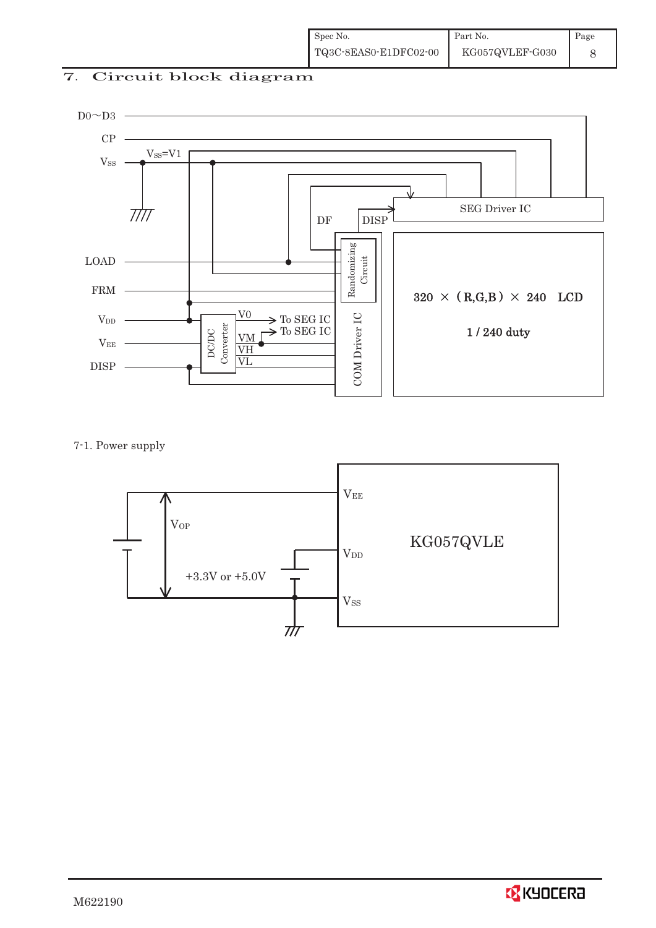# 7. Circuit block diagram



7-1. Power supply



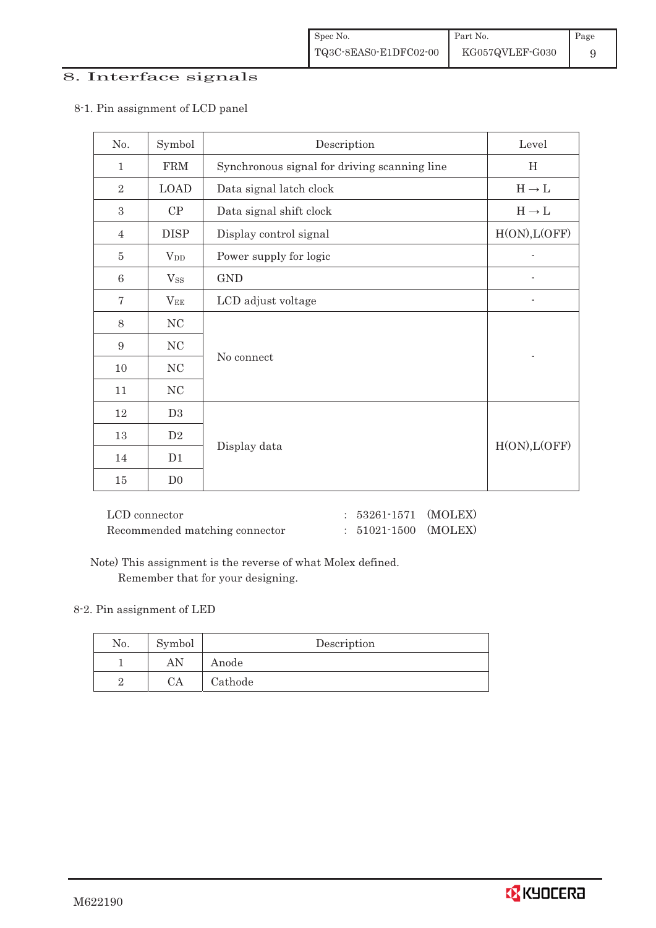## 8. Interface signals

| No.             | Symbol         | Description                                  | Level             |
|-----------------|----------------|----------------------------------------------|-------------------|
| $\mathbf{1}$    | FRM            | Synchronous signal for driving scanning line | H                 |
| $\overline{2}$  | <b>LOAD</b>    | Data signal latch clock                      | $H\to L$          |
| 3               | CP             | Data signal shift clock                      | $H \rightarrow L$ |
| $\overline{4}$  | <b>DISP</b>    | Display control signal                       | H(ON), L(OFF)     |
| $\overline{5}$  | $V_{DD}$       | Power supply for logic                       |                   |
| $6\phantom{.}6$ | $V_{SS}$       | <b>GND</b>                                   |                   |
| 7               | $V_{EE}$       | LCD adjust voltage                           |                   |
| 8               | $\rm NC$       |                                              |                   |
| $\overline{9}$  | $\rm NC$       |                                              |                   |
| 10              | NC             | No connect                                   |                   |
| 11              | $\rm NC$       |                                              |                   |
| 12              | D3             |                                              |                   |
| 13              | D2             |                                              |                   |
| 14              | D1             | Display data                                 | H(ON), L(OFF)     |
| 15              | D <sub>0</sub> |                                              |                   |

8-1. Pin assignment of LCD panel

| LCD connector                  | $: 53261 \cdot 1571$ (MOLEX) |  |
|--------------------------------|------------------------------|--|
| Recommended matching connector | $: 51021 - 1500$ (MOLEX)     |  |

 Note) This assignment is the reverse of what Molex defined. Remember that for your designing.

#### 8-2. Pin assignment of LED

| No. | Symbol | Description |
|-----|--------|-------------|
|     |        | Anode       |
|     | CA     | Cathode     |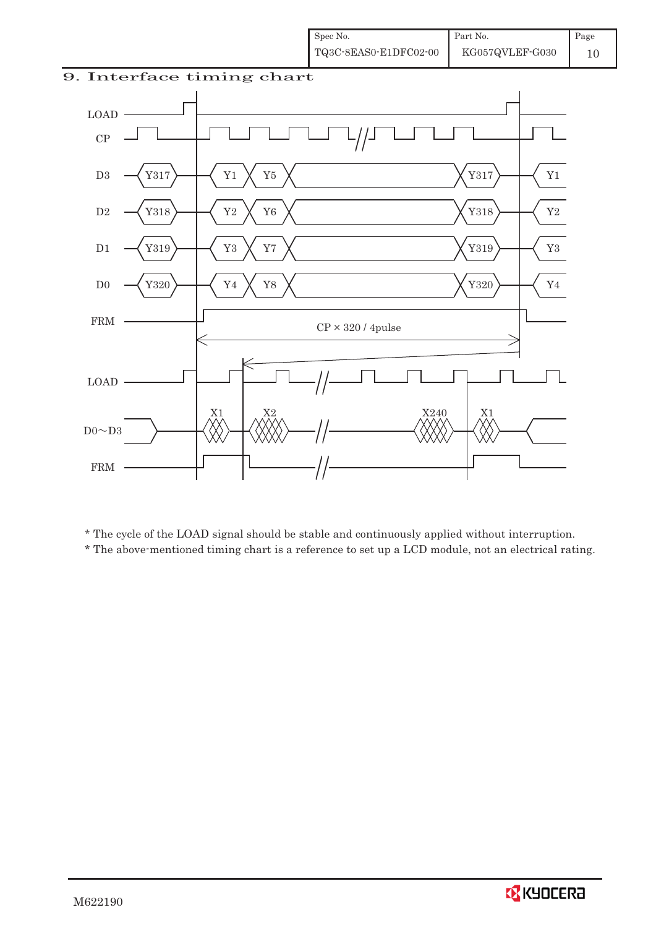



! ! \* The cycle of the LOAD signal should be stable and continuously applied without interruption.

! ! \* The above-mentioned timing chart is a reference to set up a LCD module, not an electrical rating.

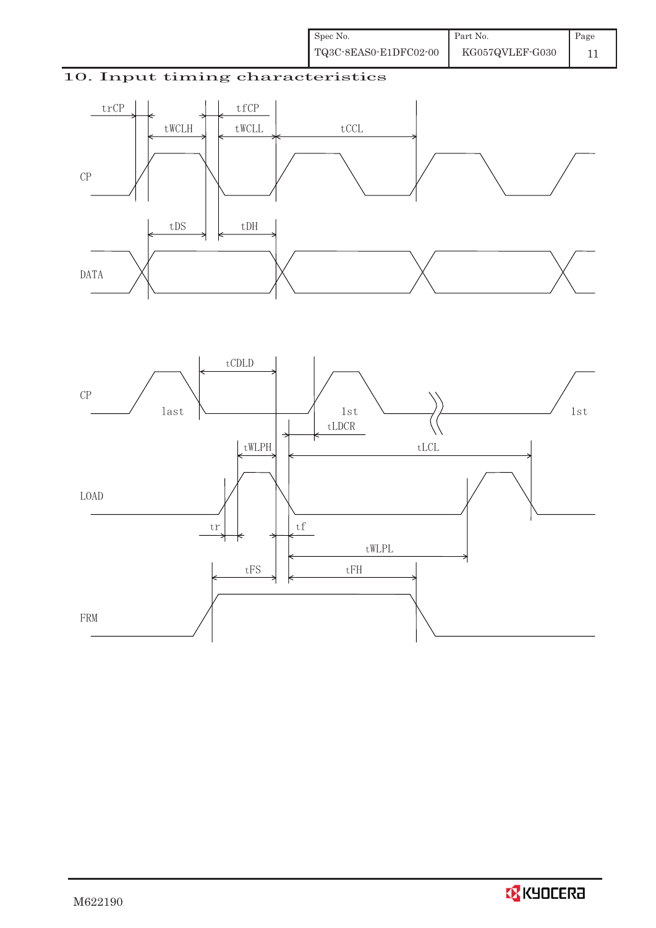# 10. Input timing characteristics



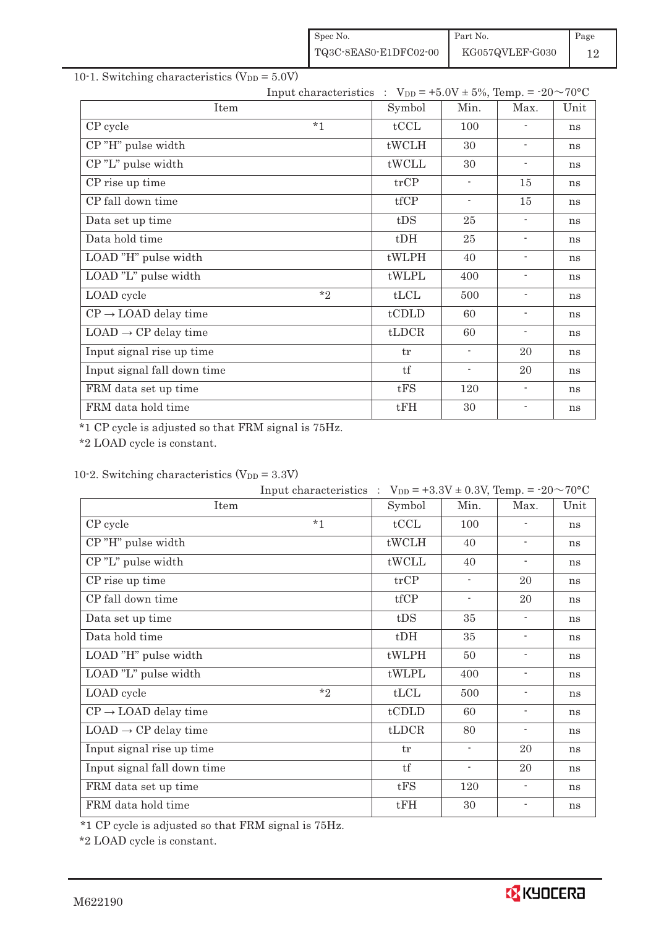| Spec No.              | Part No.        | Page |
|-----------------------|-----------------|------|
| TQ3C-8EAS0-E1DFC02-00 | KG057QVLEF-G030 |      |

#### 10-1. Switching characteristics ( $V_{DD} = 5.0V$ )

| Input characteristics : $V_{DD} = +5.0V \pm 5\%$ , Temp. = -20~70°C |         |        |                          |                          |      |
|---------------------------------------------------------------------|---------|--------|--------------------------|--------------------------|------|
| Item                                                                |         | Symbol | Min.                     | Max.                     | Unit |
| CP cycle                                                            | $*1$    | tCCL   | 100                      |                          | ns   |
| CP"H" pulse width                                                   |         | tWCLH  | 30                       |                          | ns   |
| CP"L" pulse width                                                   |         | tWCLL  | 30                       |                          | ns   |
| CP rise up time                                                     |         | trCP   | $\overline{\phantom{a}}$ | 15                       | ns   |
| CP fall down time                                                   |         | tfCP   | $\blacksquare$           | 15                       | ns   |
| Data set up time                                                    |         | tDS    | 25                       | $\overline{\phantom{a}}$ | ns   |
| Data hold time                                                      |         | $t$ DH | 25                       |                          | ns   |
| LOAD "H" pulse width                                                |         | tWLPH  | 40                       |                          | ns   |
| LOAD "L" pulse width                                                |         | tWLPL  | 400                      | ۰                        | ns   |
| LOAD cycle                                                          | $*_{2}$ | tLCL   | 500                      | $\overline{\phantom{a}}$ | ns   |

| $CP \rightarrow$ LOAD delay time | tCDLD | 60  |    | ns |
|----------------------------------|-------|-----|----|----|
| $LOAD \rightarrow CP$ delay time | tLDCR | 60  |    | ns |
| Input signal rise up time        | tr    |     | 20 | ns |
| Input signal fall down time      | tf    |     | 20 | ns |
| FRM data set up time             | tFS   | 120 |    | ns |
| FRM data hold time               | tFH   | 30  |    | ns |

\*1 CP cycle is adjusted so that FRM signal is 75Hz.

\*2 LOAD cycle is constant.

# 10-2. Switching characteristics  $(V_{DD} = 3.3V)$

|                                  | Input characteristics : $V_{DD} = +3.3V \pm 0.3V$ , Temp. = $-20 \sim 70^{\circ}C$ |        |                          |                          |      |
|----------------------------------|------------------------------------------------------------------------------------|--------|--------------------------|--------------------------|------|
| Item                             |                                                                                    | Symbol | Min.                     | Max.                     | Unit |
| CP cycle                         | $*1$                                                                               | tCCL   | 100                      |                          | ns   |
| CP"H" pulse width                |                                                                                    | tWCLH  | 40                       | $\overline{\phantom{a}}$ | ns   |
| CP"L" pulse width                |                                                                                    | tWCLL  | 40                       | $\overline{\phantom{a}}$ | ns   |
| CP rise up time                  |                                                                                    | trCP   | $\overline{\phantom{a}}$ | 20                       | ns   |
| CP fall down time                |                                                                                    | tfCP   | $\overline{\phantom{a}}$ | 20                       | ns   |
| Data set up time                 |                                                                                    | tDS    | 35                       | $\overline{\phantom{a}}$ | ns   |
| Data hold time                   |                                                                                    | $t$ DH | 35                       | $\overline{\phantom{a}}$ | ns   |
| LOAD "H" pulse width             |                                                                                    | tWLPH  | 50                       | $\overline{\phantom{a}}$ | ns   |
| LOAD "L" pulse width             |                                                                                    | tWLPL  | 400                      | $\overline{\phantom{a}}$ | ns   |
| LOAD cycle                       | $*_{2}$                                                                            | tLCL   | 500                      | $\overline{\phantom{a}}$ | ns   |
| $CP \rightarrow$ LOAD delay time |                                                                                    | tCDLD  | 60                       | $\overline{\phantom{a}}$ | ns   |
| $LOAD \rightarrow CP$ delay time |                                                                                    | tLDCR  | 80                       | $\overline{\phantom{a}}$ | ns   |
| Input signal rise up time        |                                                                                    | tr     | $\overline{\phantom{a}}$ | 20                       | ns   |
| Input signal fall down time      |                                                                                    | tf     | $\overline{\phantom{a}}$ | 20                       | ns   |
| FRM data set up time             |                                                                                    | tFS    | 120                      | $\overline{\phantom{a}}$ | ns   |
| FRM data hold time               |                                                                                    | tFH    | 30                       |                          | ns   |

\*1 CP cycle is adjusted so that FRM signal is 75Hz.

\*2 LOAD cycle is constant.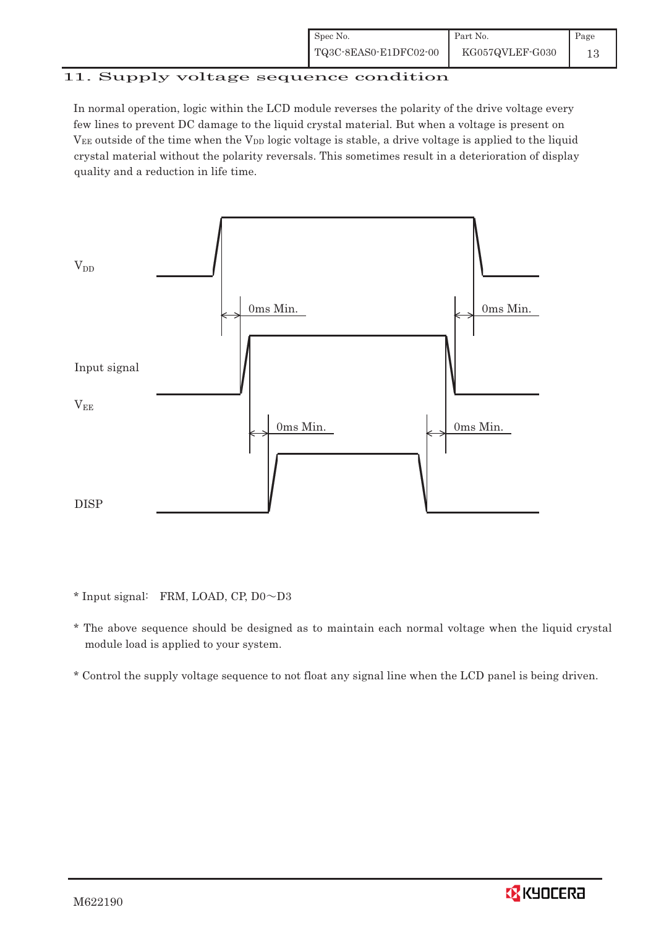| Spec No.              | Part No.        | Page |
|-----------------------|-----------------|------|
| TQ3C-8EAS0-E1DFC02-00 | KG057QVLEF-G030 | 13   |

# 11. Supply voltage sequence condition

In normal operation, logic within the LCD module reverses the polarity of the drive voltage every few lines to prevent DC damage to the liquid crystal material. But when a voltage is present on  $V_{EE}$  outside of the time when the  $V_{DD}$  logic voltage is stable, a drive voltage is applied to the liquid crystal material without the polarity reversals. This sometimes result in a deterioration of display quality and a reduction in life time.



 $*$  Input signal: FRM, LOAD, CP, D0 $\sim$ D3

- \* The above sequence should be designed as to maintain each normal voltage when the liquid crystal module load is applied to your system.
- \* Control the supply voltage sequence to not float any signal line when the LCD panel is being driven.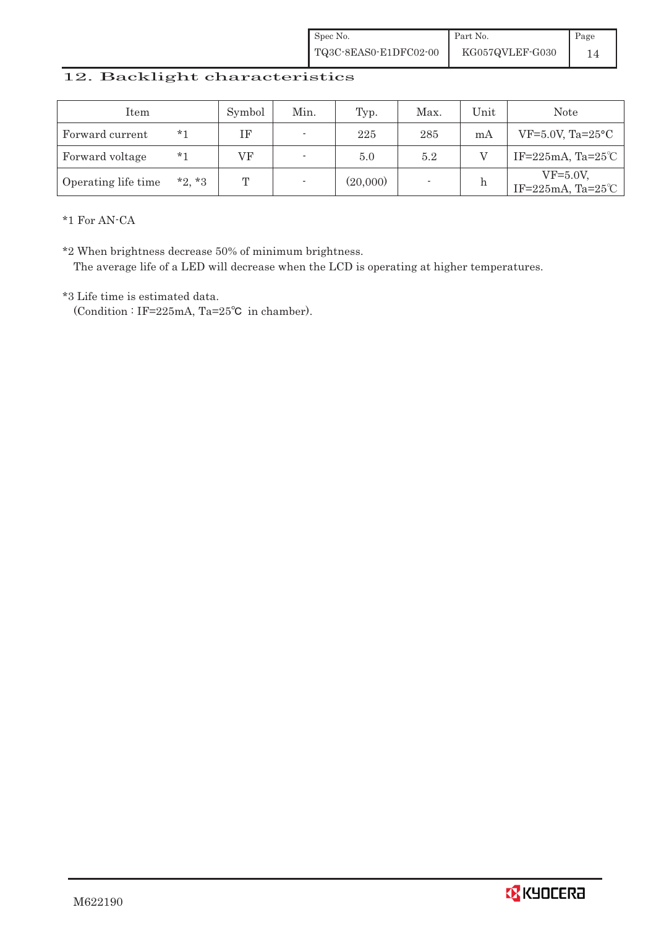| Spec No.              | Part No.        | Page |
|-----------------------|-----------------|------|
| TQ3C-8EAS0-E1DFC02-00 | KG057QVLEF-G030 |      |

# 12. Backlight characteristics

| Item                |         | Symbol | Min.                     | Typ.     | Max. | Unit | Note                                        |
|---------------------|---------|--------|--------------------------|----------|------|------|---------------------------------------------|
| Forward current     | *1      | ΙF     | $\overline{\phantom{a}}$ | 225      | 285  | mA   | $VF=5.0V$ , Ta= $25^{\circ}$ C              |
| Forward voltage     | $*_{1}$ | VF     | $\overline{\phantom{a}}$ | 5.0      | 5.2  |      | IF=225mA, Ta= $25^{\circ}$ C                |
| Operating life time | $*2.*3$ | ጥ      | ۰                        | (20,000) |      | h    | $VF=5.0V$ ,<br>IF=225mA, Ta= $25^{\circ}$ C |

\*1 For AN-CA

\*2 When brightness decrease 50% of minimum brightness.

The average life of a LED will decrease when the LCD is operating at higher temperatures.

\*3 Life time is estimated data.

(Condition : IF=225mA, Ta=25 $°C$  in chamber).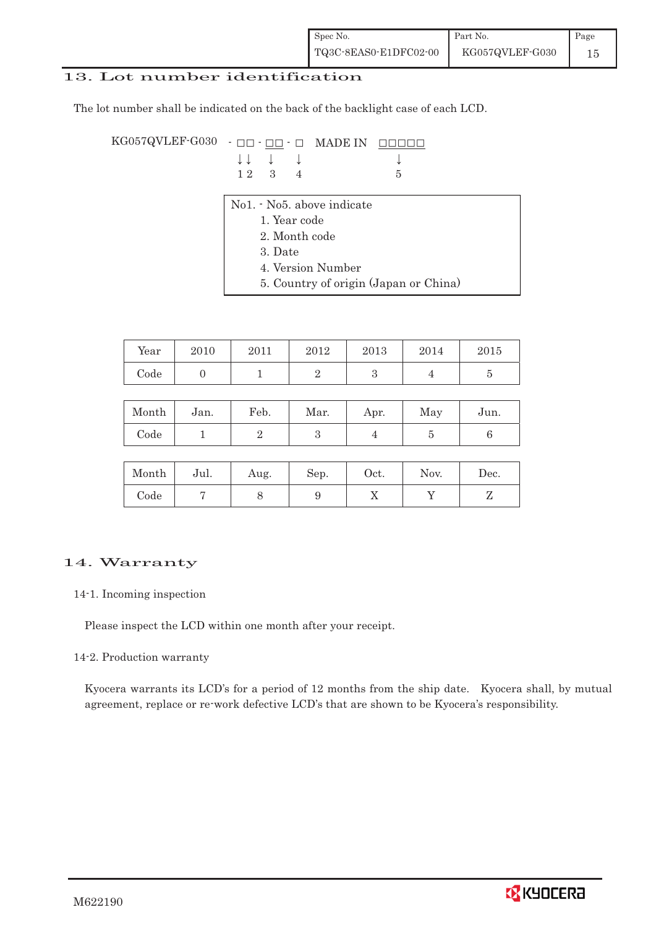| Spec No.              | Part No.        | Page |
|-----------------------|-----------------|------|
| TQ3C-8EAS0-E1DFC02-00 | KG057QVLEF-G030 | 15   |

#### 13. Lot number identification

The lot number shall be indicated on the back of the backlight case of each LCD.

KG057QVLEF-G030  $\cdot$   $\Box$  $\Box$   $\cdot$   $\Box$  MADE IN  $\Box$  $\Box$  $\Box$  $\Box$  $\downarrow$   $\downarrow$   $\downarrow$   $\downarrow$   $\downarrow$   $\downarrow$   $\downarrow$ 1 2 3 4 5 No1. - No5. above indicate 1. Year code

- 2. Month code
- 3. Date
- 4. Version Number
- 5. Country of origin (Japan or China)

| Year       | 2010 | 2011 | 2012     | 2013 | 2014 | 2015 |
|------------|------|------|----------|------|------|------|
| $\rm Code$ |      |      | <u>.</u> |      |      |      |

| Month | Jan. | Feb. | Mar. | Apr. | May | Jun. |
|-------|------|------|------|------|-----|------|
| Code  |      |      |      |      |     |      |

| Month | Jul. | Aug. | Sep. | Oct. | Nov. | $\rm Dec.$ |
|-------|------|------|------|------|------|------------|
| Code  |      |      | ັ    | ∡⊾   |      | ┚          |

## 14. Warranty

14-1. Incoming inspection

Please inspect the LCD within one month after your receipt.

#### 14-2. Production warranty

Kyocera warrants its LCD's for a period of 12 months from the ship date. Kyocera shall, by mutual agreement, replace or re-work defective LCD's that are shown to be Kyocera's responsibility.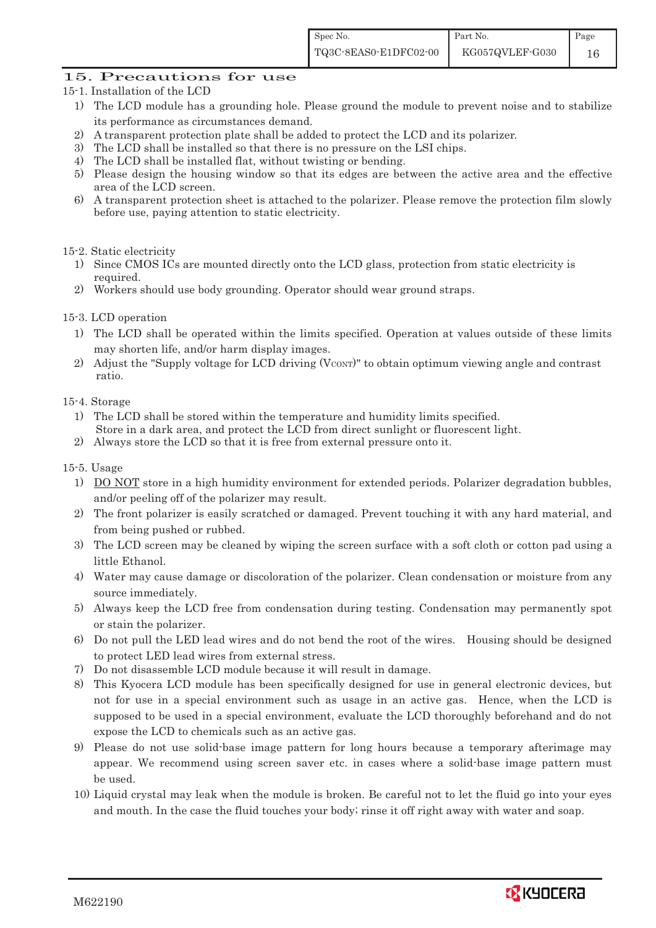## 15. Precautions for use

- 15-1. Installation of the LCD
	- 1) The LCD module has a grounding hole. Please ground the module to prevent noise and to stabilize its performance as circumstances demand.
	- 2) A transparent protection plate shall be added to protect the LCD and its polarizer.
	- 3) The LCD shall be installed so that there is no pressure on the LSI chips.
	- 4) The LCD shall be installed flat, without twisting or bending.
	- 5) Please design the housing window so that its edges are between the active area and the effective area of the LCD screen.
	- 6) A transparent protection sheet is attached to the polarizer. Please remove the protection film slowly before use, paying attention to static electricity.

#### 15-2. Static electricity

- 1) Since CMOS ICs are mounted directly onto the LCD glass, protection from static electricity is required.
- 2) Workers should use body grounding. Operator should wear ground straps.

#### 15-3. LCD operation

- 1) The LCD shall be operated within the limits specified. Operation at values outside of these limits may shorten life, and/or harm display images.
- 2) Adjust the "Supply voltage for LCD driving  $(V_{\text{CONT}})$ " to obtain optimum viewing angle and contrast ratio.

15-4. Storage

- 1) The LCD shall be stored within the temperature and humidity limits specified. Store in a dark area, and protect the LCD from direct sunlight or fluorescent light.
- 2) Always store the LCD so that it is free from external pressure onto it.

#### 15-5. Usage

- 1) DO NOT store in a high humidity environment for extended periods. Polarizer degradation bubbles, and/or peeling off of the polarizer may result.
- 2) The front polarizer is easily scratched or damaged. Prevent touching it with any hard material, and from being pushed or rubbed.
- 3) The LCD screen may be cleaned by wiping the screen surface with a soft cloth or cotton pad using a little Ethanol.
- 4) Water may cause damage or discoloration of the polarizer. Clean condensation or moisture from any source immediately.
- 5) Always keep the LCD free from condensation during testing. Condensation may permanently spot or stain the polarizer.
- 6) Do not pull the LED lead wires and do not bend the root of the wires. Housing should be designed to protect LED lead wires from external stress.
- 7) Do not disassemble LCD module because it will result in damage.
- 8) This Kyocera LCD module has been specifically designed for use in general electronic devices, but not for use in a special environment such as usage in an active gas. Hence, when the LCD is supposed to be used in a special environment, evaluate the LCD thoroughly beforehand and do not expose the LCD to chemicals such as an active gas.
- 9) Please do not use solid-base image pattern for long hours because a temporary afterimage may appear. We recommend using screen saver etc. in cases where a solid-base image pattern must be used.
- 10) Liquid crystal may leak when the module is broken. Be careful not to let the fluid go into your eyes and mouth. In the case the fluid touches your body; rinse it off right away with water and soap.

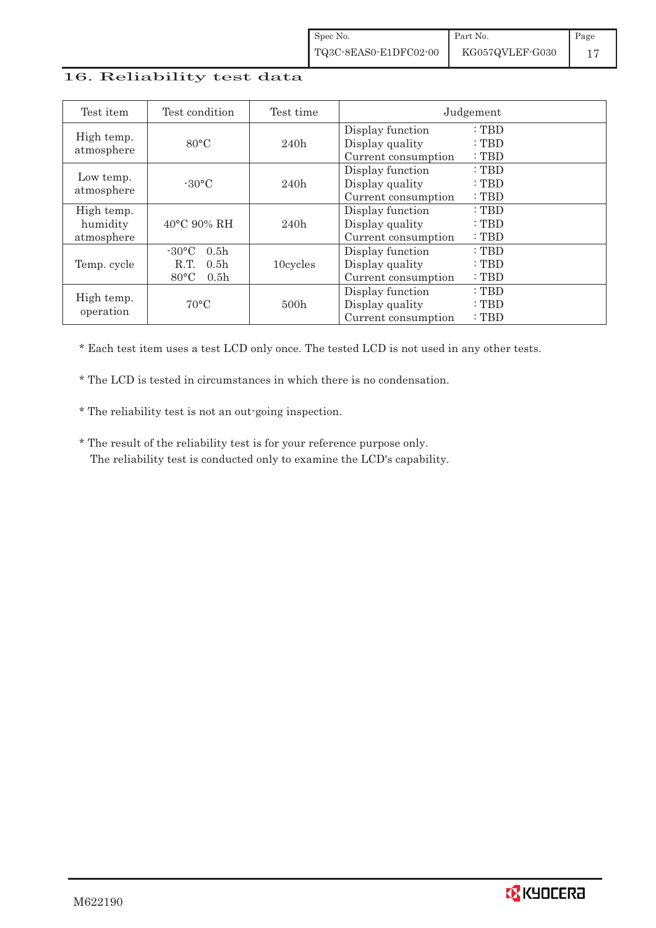## 16. Reliability test data

| Test item                            | Test condition                                                                                       | Test time |                                                            | Judgement               |
|--------------------------------------|------------------------------------------------------------------------------------------------------|-----------|------------------------------------------------------------|-------------------------|
| High temp.<br>atmosphere             | $80^{\circ}$ C                                                                                       | 240h      | Display function<br>Display quality<br>Current consumption | : TBD<br>: TBD<br>: TBD |
| Low temp.<br>atmosphere              | $-30^{\circ}$ C                                                                                      | 240h      | Display function<br>Display quality<br>Current consumption | : TBD<br>: TBD<br>: TBD |
| High temp.<br>humidity<br>atmosphere | $40^{\circ}$ C 90% RH                                                                                | 240h      | Display function<br>Display quality<br>Current consumption | : TBD<br>: TBD<br>: TBD |
| Temp. cycle                          | $-30\degree C$<br>0.5 <sub>h</sub><br>0.5 <sub>h</sub><br>R.T.<br>$80^{\circ}$ C<br>0.5 <sub>h</sub> | 10cycles  | Display function<br>Display quality<br>Current consumption | : TBD<br>: TBD<br>: TBD |
| High temp.<br>operation              | $70^{\circ}$ C                                                                                       | 500h      | Display function<br>Display quality<br>Current consumption | : TBD<br>: TBD<br>: TBD |

\* Each test item uses a test LCD only once. The tested LCD is not used in any other tests.

\* The LCD is tested in circumstances in which there is no condensation.

\* The reliability test is not an out-going inspection.

 \* The result of the reliability test is for your reference purpose only. The reliability test is conducted only to examine the LCD's capability.

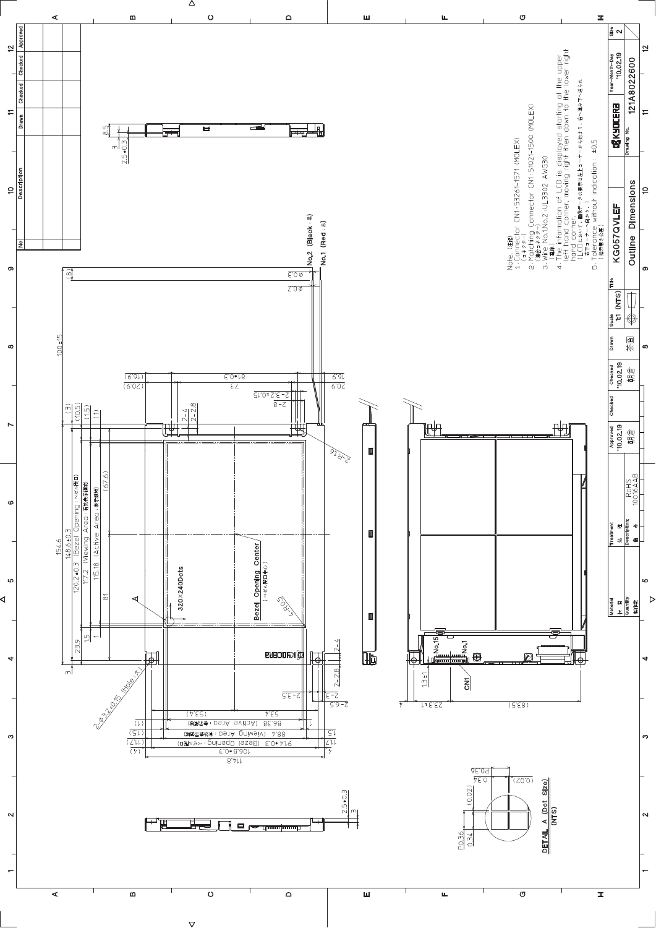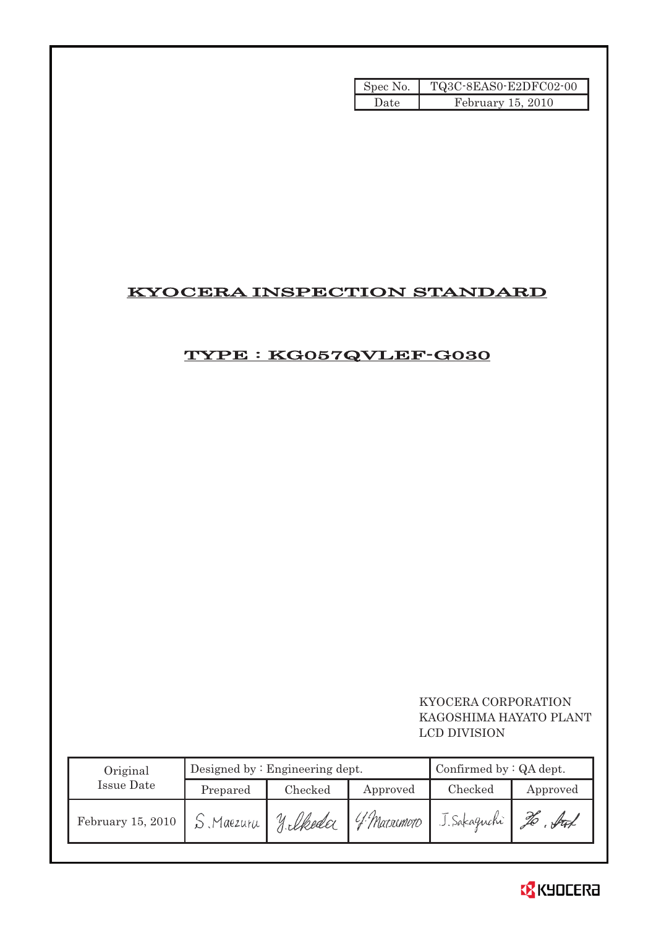| Spec No. | TQ3C-8EAS0-E2DFC02-00 |
|----------|-----------------------|
| Date.    | February 15, 2010     |

# KYOCERA INSPECTION STANDARD

# TYPE : KG057QVLEF-G030

# KYOCERA CORPORATION KAGOSHIMA HAYATO PLANT LCD DIVISION

| Original          |           | Designed by $:$ Engineering dept. |                | Confirmed by $:QA$ dept. |          |
|-------------------|-----------|-----------------------------------|----------------|--------------------------|----------|
| Issue Date        | Prepared  | Checked                           | Approved       | Checked                  | Approved |
| February 15, 2010 | S Maezura | U<br>silkeda                      | $14$ Matsumoto | J. Sakaguchi             | fat      |

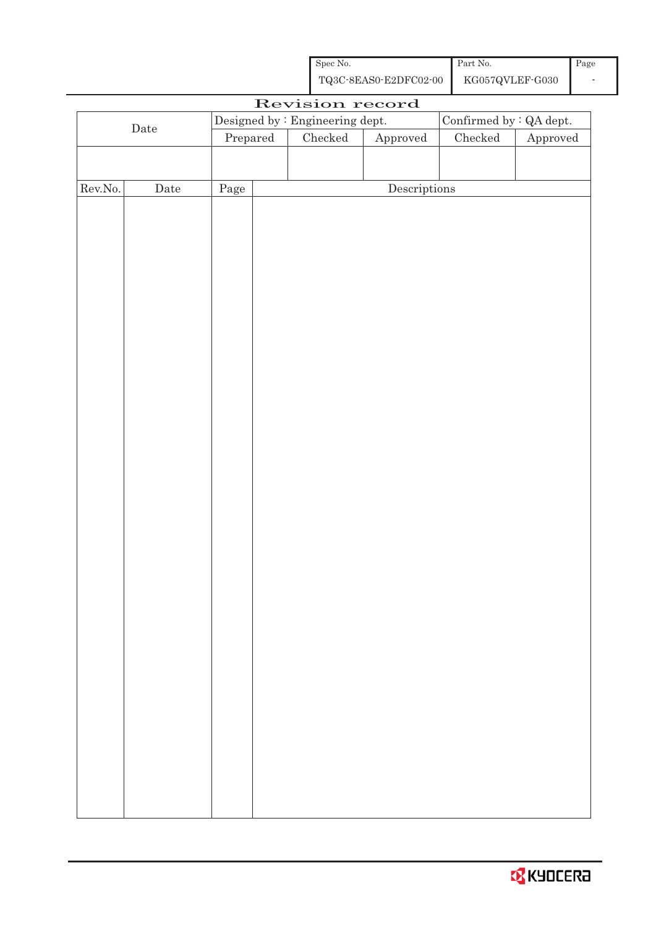| Spec No.              | Part No.        | $\vert$ Page |
|-----------------------|-----------------|--------------|
| TQ3C-8EAS0-E2DFC02-00 | KG057QVLEF-G030 |              |

|         |             |                                  | Revision record                 |                                      |                         |                        |
|---------|-------------|----------------------------------|---------------------------------|--------------------------------------|-------------------------|------------------------|
|         |             |                                  | Designed by : Engineering dept. |                                      | Confirmed by : QA dept. |                        |
|         | $\rm{Date}$ | $\ensuremath{\mathrm{Prepared}}$ | $\rm Checked$                   | ${\Large\bf Approved}$               | $\rm Checked$           | ${\Large\bf Approved}$ |
|         |             |                                  |                                 |                                      |                         |                        |
|         |             |                                  |                                 |                                      |                         |                        |
| Rev.No. | $\rm{Date}$ | Page                             |                                 | $\label{eq:2} \textbf{Descriptions}$ |                         |                        |
|         |             |                                  |                                 |                                      |                         |                        |
|         |             |                                  |                                 |                                      |                         |                        |
|         |             |                                  |                                 |                                      |                         |                        |
|         |             |                                  |                                 |                                      |                         |                        |
|         |             |                                  |                                 |                                      |                         |                        |
|         |             |                                  |                                 |                                      |                         |                        |
|         |             |                                  |                                 |                                      |                         |                        |
|         |             |                                  |                                 |                                      |                         |                        |
|         |             |                                  |                                 |                                      |                         |                        |
|         |             |                                  |                                 |                                      |                         |                        |
|         |             |                                  |                                 |                                      |                         |                        |
|         |             |                                  |                                 |                                      |                         |                        |
|         |             |                                  |                                 |                                      |                         |                        |
|         |             |                                  |                                 |                                      |                         |                        |
|         |             |                                  |                                 |                                      |                         |                        |
|         |             |                                  |                                 |                                      |                         |                        |
|         |             |                                  |                                 |                                      |                         |                        |
|         |             |                                  |                                 |                                      |                         |                        |
|         |             |                                  |                                 |                                      |                         |                        |
|         |             |                                  |                                 |                                      |                         |                        |
|         |             |                                  |                                 |                                      |                         |                        |
|         |             |                                  |                                 |                                      |                         |                        |
|         |             |                                  |                                 |                                      |                         |                        |
|         |             |                                  |                                 |                                      |                         |                        |
|         |             |                                  |                                 |                                      |                         |                        |
|         |             |                                  |                                 |                                      |                         |                        |
|         |             |                                  |                                 |                                      |                         |                        |
|         |             |                                  |                                 |                                      |                         |                        |
|         |             |                                  |                                 |                                      |                         |                        |
|         |             |                                  |                                 |                                      |                         |                        |
|         |             |                                  |                                 |                                      |                         |                        |
|         |             |                                  |                                 |                                      |                         |                        |
|         |             |                                  |                                 |                                      |                         |                        |
|         |             |                                  |                                 |                                      |                         |                        |
|         |             |                                  |                                 |                                      |                         |                        |
|         |             |                                  |                                 |                                      |                         |                        |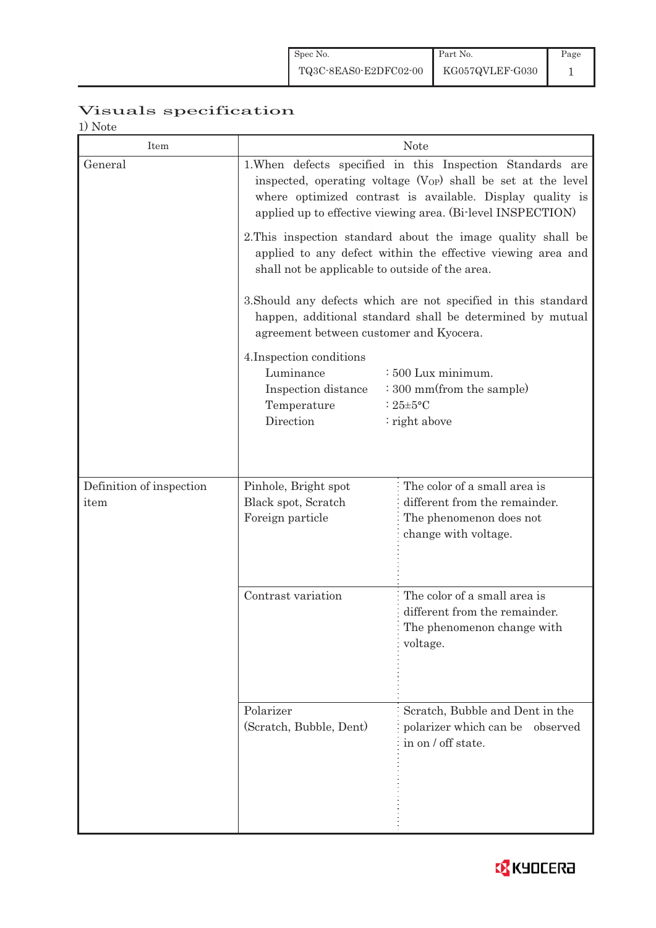# Visuals specification

1) Note

| Item                     |                                                                                                                                                                                 | <b>Note</b>                                                                                                                                                                                                                                                         |  |  |  |
|--------------------------|---------------------------------------------------------------------------------------------------------------------------------------------------------------------------------|---------------------------------------------------------------------------------------------------------------------------------------------------------------------------------------------------------------------------------------------------------------------|--|--|--|
| General                  |                                                                                                                                                                                 | 1. When defects specified in this Inspection Standards are<br>inspected, operating voltage (V <sub>OP</sub> ) shall be set at the level<br>where optimized contrast is available. Display quality is<br>applied up to effective viewing area. (Bi-level INSPECTION) |  |  |  |
|                          | 2. This inspection standard about the image quality shall be<br>applied to any defect within the effective viewing area and<br>shall not be applicable to outside of the area.  |                                                                                                                                                                                                                                                                     |  |  |  |
|                          | agreement between customer and Kyocera.                                                                                                                                         | 3. Should any defects which are not specified in this standard<br>happen, additional standard shall be determined by mutual                                                                                                                                         |  |  |  |
|                          | 4. Inspection conditions<br>Luminance<br>: 500 Lux minimum.<br>: 300 mm(from the sample)<br>Inspection distance<br>Temperature<br>: $25 \pm 5$ °C<br>Direction<br>: right above |                                                                                                                                                                                                                                                                     |  |  |  |
| Definition of inspection | Pinhole, Bright spot                                                                                                                                                            | The color of a small area is                                                                                                                                                                                                                                        |  |  |  |
| item                     | Black spot, Scratch<br>Foreign particle                                                                                                                                         | different from the remainder.<br>The phenomenon does not<br>change with voltage.                                                                                                                                                                                    |  |  |  |
|                          | Contrast variation                                                                                                                                                              | The color of a small area is<br>different from the remainder.<br>The phenomenon change with<br>voltage.                                                                                                                                                             |  |  |  |
|                          | Polarizer<br>(Scratch, Bubble, Dent)                                                                                                                                            | Scratch, Bubble and Dent in the<br>polarizer which can be<br>observed<br>in on / off state.                                                                                                                                                                         |  |  |  |

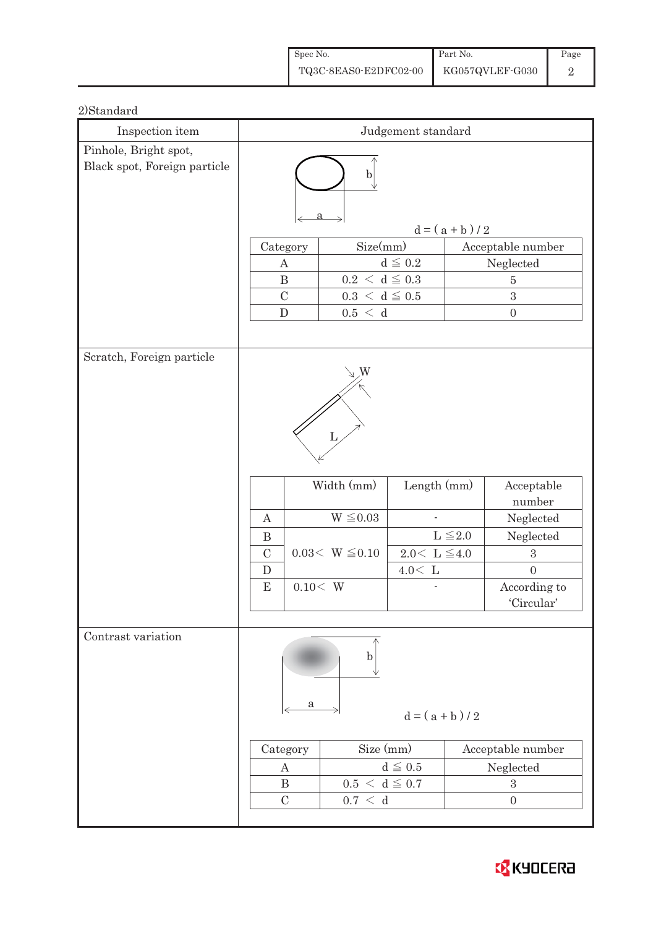| Spec No.              | Part No.        | Page |
|-----------------------|-----------------|------|
| TQ3C-8EAS0-E2DFC02-00 | KG057QVLEF-G030 |      |

## 2)Standard

| Inspection item                                       | Judgement standard                               |                                                              |                                                                 |                   |                                                              |
|-------------------------------------------------------|--------------------------------------------------|--------------------------------------------------------------|-----------------------------------------------------------------|-------------------|--------------------------------------------------------------|
| Pinhole, Bright spot,<br>Black spot, Foreign particle | $\mathbf b$                                      |                                                              |                                                                 |                   |                                                              |
|                                                       | $d = (a + b) / 2$                                |                                                              |                                                                 |                   |                                                              |
|                                                       |                                                  | Size(mm)<br>Category                                         |                                                                 | Acceptable number |                                                              |
|                                                       | A                                                |                                                              | $d\leqq0.2$                                                     |                   | Neglected                                                    |
|                                                       |                                                  | $0.2~<~\mathrm{d}\leq0.3$<br>$\bf{B}$                        |                                                                 |                   | $\bf 5$                                                      |
|                                                       | $\mathcal{C}$                                    | $0.3~<~\mathrm{d}\leq0.5$                                    |                                                                 |                   | 3                                                            |
|                                                       | ${\bf D}$                                        | 0.5 < d                                                      |                                                                 |                   | $\boldsymbol{0}$                                             |
| Scratch, Foreign particle                             | $\boldsymbol{A}$<br>$\mathbf B$<br>$\mathcal{C}$ | W<br>L<br>Width (mm)<br>$W \leq 0.03$<br>$0.03<\ W\leq 0.10$ | Length (mm)<br>$\overline{\phantom{a}}$<br>$2.0\leq L \leq 4.0$ | $L \leq 2.0$      | Acceptable<br>number<br>Neglected<br>Neglected<br>$\sqrt{3}$ |
|                                                       | $\mathbf D$                                      |                                                              | $4.0\rm <\ L$                                                   |                   | $\overline{0}$                                               |
|                                                       | ${\bf E}$                                        | 0.10< W                                                      |                                                                 |                   | According to                                                 |
|                                                       |                                                  |                                                              |                                                                 |                   | 'Circular'                                                   |
| Contrast variation                                    |                                                  | $\mathbf b$<br>а                                             | $d = (a + b)/2$                                                 |                   |                                                              |
|                                                       | Category                                         | Size (mm)                                                    |                                                                 |                   | Acceptable number                                            |
|                                                       | $\boldsymbol{A}$                                 |                                                              | $d\leqq0.5$                                                     |                   | Neglected                                                    |
|                                                       | $\, {\bf B}$                                     | $0.5 < d \leq 0.7$                                           |                                                                 |                   | $\mathbf{3}$                                                 |
|                                                       | $\mathcal{C}$                                    | 0.7 < d                                                      |                                                                 |                   | $\boldsymbol{0}$                                             |
|                                                       |                                                  |                                                              |                                                                 |                   |                                                              |